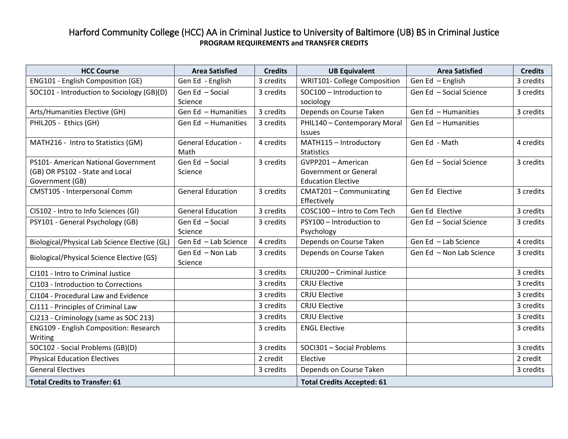## Harford Community College (HCC) AA in Criminal Justice to University of Baltimore (UB) BS in Criminal Justice **PROGRAM REQUIREMENTS and TRANSFER CREDITS**

| <b>HCC Course</b>                             | <b>Area Satisfied</b>      | <b>Credits</b> | <b>UB Equivalent</b>                | <b>Area Satisfied</b>    | <b>Credits</b> |
|-----------------------------------------------|----------------------------|----------------|-------------------------------------|--------------------------|----------------|
| ENG101 - English Composition (GE)             | Gen Ed - English           | 3 credits      | <b>WRIT101- College Composition</b> | Gen Ed - English         | 3 credits      |
| SOC101 - Introduction to Sociology (GB)(D)    | Gen Ed - Social            | 3 credits      | SOC100 - Introduction to            | Gen Ed - Social Science  | 3 credits      |
|                                               | Science                    |                | sociology                           |                          |                |
| Arts/Humanities Elective (GH)                 | Gen Ed - Humanities        | 3 credits      | Depends on Course Taken             | Gen Ed - Humanities      | 3 credits      |
| PHIL205 - Ethics (GH)                         | Gen Ed - Humanities        | 3 credits      | PHIL140 - Contemporary Moral        | Gen Ed - Humanities      |                |
|                                               |                            |                | <b>Issues</b>                       |                          |                |
| MATH216 - Intro to Statistics (GM)            | <b>General Education -</b> | 4 credits      | MATH115 - Introductory              | Gen Ed - Math            | 4 credits      |
|                                               | Math                       |                | <b>Statistics</b>                   |                          |                |
| PS101- American National Government           | Gen Ed - Social            | 3 credits      | GVPP201 - American                  | Gen Ed - Social Science  | 3 credits      |
| (GB) OR PS102 - State and Local               | Science                    |                | Government or General               |                          |                |
| Government (GB)                               |                            |                | <b>Education Elective</b>           |                          |                |
| CMST105 - Interpersonal Comm                  | <b>General Education</b>   | 3 credits      | CMAT201 - Communicating             | Gen Ed Elective          | 3 credits      |
|                                               |                            |                | Effectively                         |                          |                |
| CIS102 - Intro to Info Sciences (GI)          | <b>General Education</b>   | 3 credits      | COSC100 - Intro to Com Tech         | Gen Ed Elective          | 3 credits      |
| PSY101 - General Psychology (GB)              | Gen Ed - Social            | 3 credits      | PSY100 - Introduction to            | Gen Ed - Social Science  | 3 credits      |
|                                               | Science                    |                | Psychology                          |                          |                |
| Biological/Physical Lab Science Elective (GL) | Gen Ed - Lab Science       | 4 credits      | Depends on Course Taken             | Gen Ed - Lab Science     | 4 credits      |
| Biological/Physical Science Elective (GS)     | Gen Ed - Non Lab           | 3 credits      | Depends on Course Taken             | Gen Ed - Non Lab Science | 3 credits      |
|                                               | Science                    |                |                                     |                          |                |
| CJ101 - Intro to Criminal Justice             |                            | 3 credits      | CRJU200 - Criminal Justice          |                          | 3 credits      |
| CJ103 - Introduction to Corrections           |                            | 3 credits      | <b>CRJU Elective</b>                |                          | 3 credits      |
| CJ104 - Procedural Law and Evidence           |                            | 3 credits      | <b>CRJU Elective</b>                |                          | 3 credits      |
| CJ111 - Principles of Criminal Law            |                            | 3 credits      | <b>CRJU Elective</b>                |                          | 3 credits      |
| CJ213 - Criminology (same as SOC 213)         |                            | 3 credits      | <b>CRJU Elective</b>                |                          | 3 credits      |
| ENG109 - English Composition: Research        |                            | 3 credits      | <b>ENGL Elective</b>                |                          | 3 credits      |
| Writing                                       |                            |                |                                     |                          |                |
| SOC102 - Social Problems (GB)(D)              |                            | 3 credits      | SOCI301 - Social Problems           |                          | 3 credits      |
| <b>Physical Education Electives</b>           |                            | 2 credit       | Elective                            |                          | 2 credit       |
| <b>General Electives</b>                      |                            | 3 credits      | Depends on Course Taken             |                          | 3 credits      |
| <b>Total Credits to Transfer: 61</b>          |                            |                | <b>Total Credits Accepted: 61</b>   |                          |                |